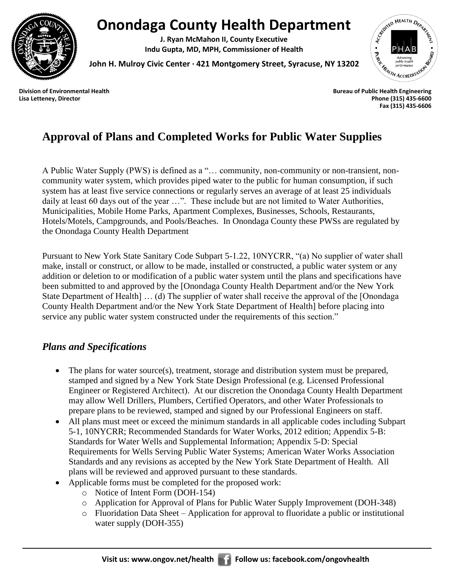

# **Onondaga County Health Department**

**J. Ryan McMahon II, County Executive Indu Gupta, MD, MPH, Commissioner of Health**

FERED HEALTH DEPART Indu Gupta, IVI., IVI. I., Later Street, Syracuse, NY 13202<br>John H. Mulroy Civic Center · 421 Montgomery Street, Syracuse, NY 13202<br>Division of Environmental Health<br>Bureau of Public Health Engineering

**John H. Mulroy Civic Center ∙ 421 Montgomery Street, Syracuse, NY 13202**

**Lisa Letteney, Director Phone (315) 435-6600 Fax (315) 435-6606**

# **Approval of Plans and Completed Works for Public Water Supplies**

A Public Water Supply (PWS) is defined as a "… community, non-community or non-transient, noncommunity water system, which provides piped water to the public for human consumption, if such system has at least five service connections or regularly serves an average of at least 25 individuals daily at least 60 days out of the year …". These include but are not limited to Water Authorities, Municipalities, Mobile Home Parks, Apartment Complexes, Businesses, Schools, Restaurants, Hotels/Motels, Campgrounds, and Pools/Beaches. In Onondaga County these PWSs are regulated by the Onondaga County Health Department

Pursuant to New York State Sanitary Code Subpart 5-1.22, 10NYCRR, "(a) No supplier of water shall make, install or construct, or allow to be made, installed or constructed, a public water system or any addition or deletion to or modification of a public water system until the plans and specifications have been submitted to and approved by the [Onondaga County Health Department and/or the New York State Department of Health] … (d) The supplier of water shall receive the approval of the [Onondaga County Health Department and/or the New York State Department of Health] before placing into service any public water system constructed under the requirements of this section."

### *Plans and Specifications*

- The plans for water source(s), treatment, storage and distribution system must be prepared, stamped and signed by a New York State Design Professional (e.g. Licensed Professional Engineer or Registered Architect). At our discretion the Onondaga County Health Department may allow Well Drillers, Plumbers, Certified Operators, and other Water Professionals to prepare plans to be reviewed, stamped and signed by our Professional Engineers on staff.
- All plans must meet or exceed the minimum standards in all applicable codes including Subpart 5-1, 10NYCRR; Recommended Standards for Water Works, 2012 edition; Appendix 5-B: Standards for Water Wells and Supplemental Information; Appendix 5-D: Special Requirements for Wells Serving Public Water Systems; American Water Works Association Standards and any revisions as accepted by the New York State Department of Health. All plans will be reviewed and approved pursuant to these standards.
- Applicable forms must be completed for the proposed work:
	- o Notice of Intent Form (DOH-154)
	- o Application for Approval of Plans for Public Water Supply Improvement (DOH-348)
	- o Fluoridation Data Sheet Application for approval to fluoridate a public or institutional water supply (DOH-355)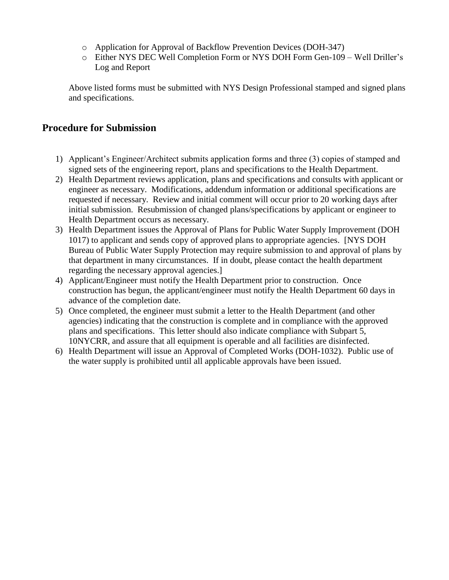- o Application for Approval of Backflow Prevention Devices (DOH-347)
- o Either NYS DEC Well Completion Form or NYS DOH Form Gen-109 Well Driller's Log and Report

Above listed forms must be submitted with NYS Design Professional stamped and signed plans and specifications.

#### **Procedure for Submission**

- 1) Applicant's Engineer/Architect submits application forms and three (3) copies of stamped and signed sets of the engineering report, plans and specifications to the Health Department.
- 2) Health Department reviews application, plans and specifications and consults with applicant or engineer as necessary. Modifications, addendum information or additional specifications are requested if necessary. Review and initial comment will occur prior to 20 working days after initial submission. Resubmission of changed plans/specifications by applicant or engineer to Health Department occurs as necessary.
- 3) Health Department issues the Approval of Plans for Public Water Supply Improvement (DOH 1017) to applicant and sends copy of approved plans to appropriate agencies. [NYS DOH Bureau of Public Water Supply Protection may require submission to and approval of plans by that department in many circumstances. If in doubt, please contact the health department regarding the necessary approval agencies.]
- 4) Applicant/Engineer must notify the Health Department prior to construction. Once construction has begun, the applicant/engineer must notify the Health Department 60 days in advance of the completion date.
- 5) Once completed, the engineer must submit a letter to the Health Department (and other agencies) indicating that the construction is complete and in compliance with the approved plans and specifications. This letter should also indicate compliance with Subpart 5, 10NYCRR, and assure that all equipment is operable and all facilities are disinfected.
- 6) Health Department will issue an Approval of Completed Works (DOH-1032). Public use of the water supply is prohibited until all applicable approvals have been issued.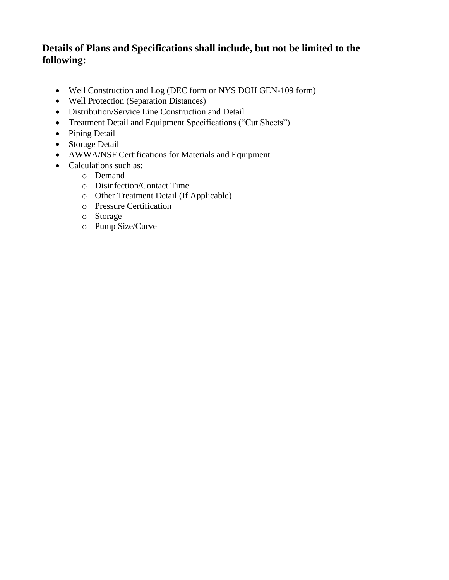### **Details of Plans and Specifications shall include, but not be limited to the following:**

- Well Construction and Log (DEC form or NYS DOH GEN-109 form)
- Well Protection (Separation Distances)
- Distribution/Service Line Construction and Detail
- Treatment Detail and Equipment Specifications ("Cut Sheets")
- Piping Detail
- Storage Detail
- AWWA/NSF Certifications for Materials and Equipment
- Calculations such as:
	- o Demand
	- o Disinfection/Contact Time
	- o Other Treatment Detail (If Applicable)
	- o Pressure Certification
	- o Storage
	- o Pump Size/Curve